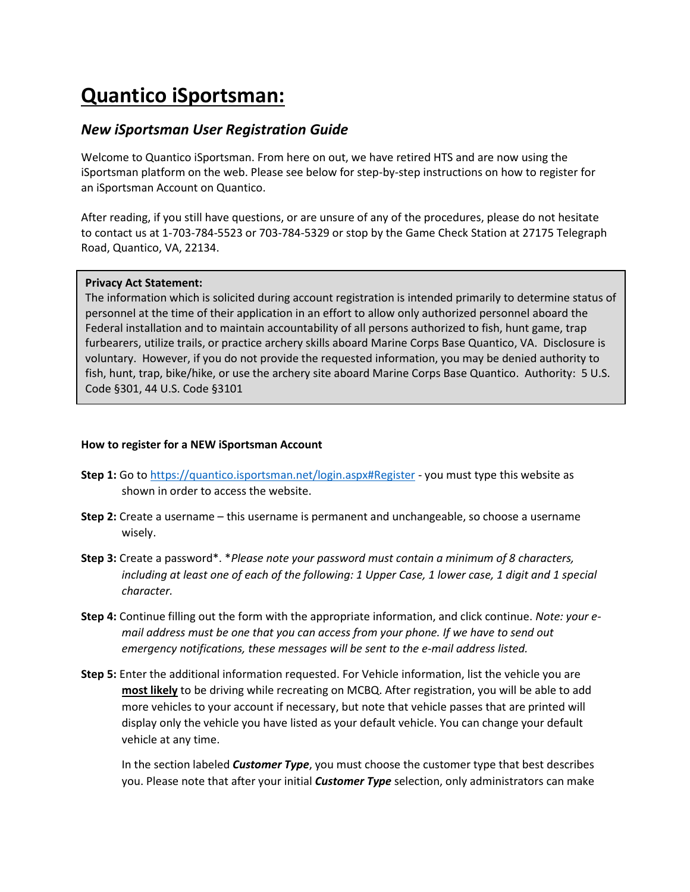## **Quantico iSportsman:**

## *New iSportsman User Registration Guide*

Welcome to Quantico iSportsman. From here on out, we have retired HTS and are now using the iSportsman platform on the web. Please see below for step-by-step instructions on how to register for an iSportsman Account on Quantico.

After reading, if you still have questions, or are unsure of any of the procedures, please do not hesitate to contact us at 1-703-784-5523 or 703-784-5329 or stop by the Game Check Station at 27175 Telegraph Road, Quantico, VA, 22134.

## **Privacy Act Statement:**

The information which is solicited during account registration is intended primarily to determine status of personnel at the time of their application in an effort to allow only authorized personnel aboard the Federal installation and to maintain accountability of all persons authorized to fish, hunt game, trap furbearers, utilize trails, or practice archery skills aboard Marine Corps Base Quantico, VA. Disclosure is voluntary. However, if you do not provide the requested information, you may be denied authority to fish, hunt, trap, bike/hike, or use the archery site aboard Marine Corps Base Quantico. Authority: 5 U.S. Code §301, 44 U.S. Code §3101

## **How to register for a NEW iSportsman Account**

- **Step 1:** Go to<https://quantico.isportsman.net/login.aspx#Register> you must type this website as shown in order to access the website.
- **Step 2:** Create a username this username is permanent and unchangeable, so choose a username wisely.
- **Step 3:** Create a password\*. \**Please note your password must contain a minimum of 8 characters,*  including at least one of each of the following: 1 Upper Case, 1 lower case, 1 digit and 1 special *character.*
- **Step 4:** Continue filling out the form with the appropriate information, and click continue. *Note: your email address must be one that you can access from your phone. If we have to send out emergency notifications, these messages will be sent to the e-mail address listed.*
- **Step 5:** Enter the additional information requested. For Vehicle information, list the vehicle you are **most likely** to be driving while recreating on MCBQ. After registration, you will be able to add more vehicles to your account if necessary, but note that vehicle passes that are printed will display only the vehicle you have listed as your default vehicle. You can change your default vehicle at any time.

In the section labeled *Customer Type*, you must choose the customer type that best describes you. Please note that after your initial *Customer Type* selection, only administrators can make